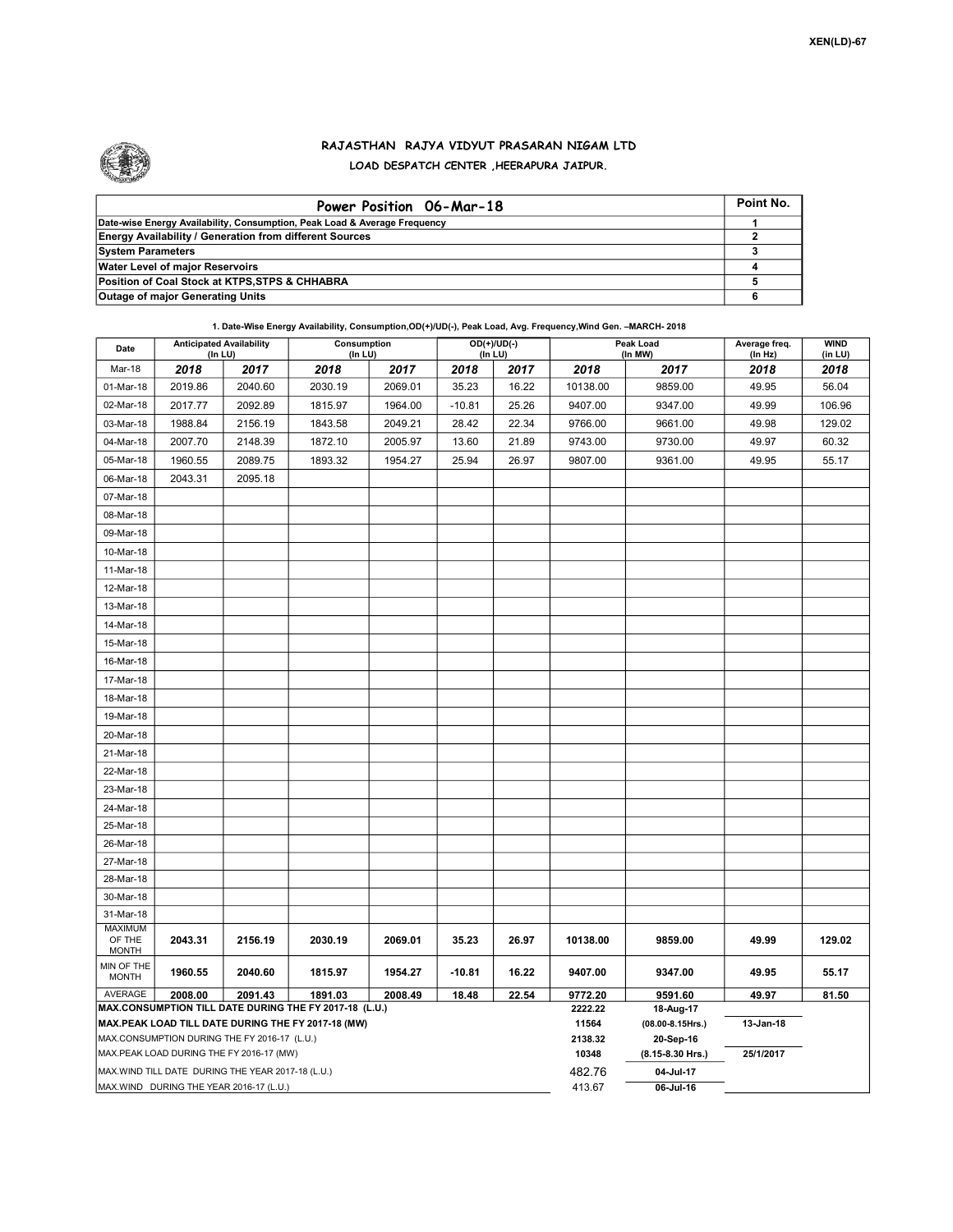

## RAJASTHAN RAJYA VIDYUT PRASARAN NIGAM LTD LOAD DESPATCH CENTER ,HEERAPURA JAIPUR.

| Power Position 06-Mar-18                                                  | Point No. |
|---------------------------------------------------------------------------|-----------|
| Date-wise Energy Availability, Consumption, Peak Load & Average Frequency |           |
| <b>Energy Availability / Generation from different Sources</b>            |           |
| <b>System Parameters</b>                                                  |           |
| <b>Water Level of major Reservoirs</b>                                    |           |
| Position of Coal Stock at KTPS, STPS & CHHABRA                            |           |
| <b>Outage of major Generating Units</b>                                   |           |

1. Date-Wise Energy Availability, Consumption,OD(+)/UD(-), Peak Load, Avg. Frequency,Wind Gen. –MARCH- 2018

| Date                                                                                     | <b>Anticipated Availability</b><br>$($ In LU $)$ |         | Consumption<br>(ln LU) |         |          | $OD(+)/UD(-)$<br>(In LU) |          | Peak Load<br>(In MW)          | Average freq.<br>(In Hz) | <b>WIND</b><br>(in LU) |
|------------------------------------------------------------------------------------------|--------------------------------------------------|---------|------------------------|---------|----------|--------------------------|----------|-------------------------------|--------------------------|------------------------|
| Mar-18                                                                                   | 2018                                             | 2017    | 2018                   | 2017    | 2018     | 2017                     | 2018     | 2017                          | 2018                     | 2018                   |
| 01-Mar-18                                                                                | 2019.86                                          | 2040.60 | 2030.19                | 2069.01 | 35.23    | 16.22                    | 10138.00 | 9859.00                       | 49.95                    | 56.04                  |
| 02-Mar-18                                                                                | 2017.77                                          | 2092.89 | 1815.97                | 1964.00 | $-10.81$ | 25.26                    | 9407.00  | 9347.00                       | 49.99                    | 106.96                 |
| 03-Mar-18                                                                                | 1988.84                                          | 2156.19 | 1843.58                | 2049.21 | 28.42    | 22.34                    | 9766.00  | 9661.00                       | 49.98                    | 129.02                 |
| 04-Mar-18                                                                                | 2007.70                                          | 2148.39 | 1872.10                | 2005.97 | 13.60    | 21.89                    | 9743.00  | 9730.00                       | 49.97                    | 60.32                  |
| 05-Mar-18                                                                                | 1960.55                                          | 2089.75 | 1893.32                | 1954.27 | 25.94    | 26.97                    | 9807.00  | 9361.00                       | 49.95                    | 55.17                  |
| 06-Mar-18                                                                                | 2043.31                                          | 2095.18 |                        |         |          |                          |          |                               |                          |                        |
| 07-Mar-18                                                                                |                                                  |         |                        |         |          |                          |          |                               |                          |                        |
| 08-Mar-18                                                                                |                                                  |         |                        |         |          |                          |          |                               |                          |                        |
| 09-Mar-18                                                                                |                                                  |         |                        |         |          |                          |          |                               |                          |                        |
| 10-Mar-18                                                                                |                                                  |         |                        |         |          |                          |          |                               |                          |                        |
| 11-Mar-18                                                                                |                                                  |         |                        |         |          |                          |          |                               |                          |                        |
| 12-Mar-18                                                                                |                                                  |         |                        |         |          |                          |          |                               |                          |                        |
| 13-Mar-18                                                                                |                                                  |         |                        |         |          |                          |          |                               |                          |                        |
| 14-Mar-18                                                                                |                                                  |         |                        |         |          |                          |          |                               |                          |                        |
| 15-Mar-18                                                                                |                                                  |         |                        |         |          |                          |          |                               |                          |                        |
| 16-Mar-18                                                                                |                                                  |         |                        |         |          |                          |          |                               |                          |                        |
| 17-Mar-18                                                                                |                                                  |         |                        |         |          |                          |          |                               |                          |                        |
| 18-Mar-18                                                                                |                                                  |         |                        |         |          |                          |          |                               |                          |                        |
| 19-Mar-18                                                                                |                                                  |         |                        |         |          |                          |          |                               |                          |                        |
| 20-Mar-18                                                                                |                                                  |         |                        |         |          |                          |          |                               |                          |                        |
| 21-Mar-18                                                                                |                                                  |         |                        |         |          |                          |          |                               |                          |                        |
| 22-Mar-18                                                                                |                                                  |         |                        |         |          |                          |          |                               |                          |                        |
| 23-Mar-18                                                                                |                                                  |         |                        |         |          |                          |          |                               |                          |                        |
| 24-Mar-18                                                                                |                                                  |         |                        |         |          |                          |          |                               |                          |                        |
| 25-Mar-18                                                                                |                                                  |         |                        |         |          |                          |          |                               |                          |                        |
| 26-Mar-18                                                                                |                                                  |         |                        |         |          |                          |          |                               |                          |                        |
| 27-Mar-18                                                                                |                                                  |         |                        |         |          |                          |          |                               |                          |                        |
| 28-Mar-18                                                                                |                                                  |         |                        |         |          |                          |          |                               |                          |                        |
| 30-Mar-18                                                                                |                                                  |         |                        |         |          |                          |          |                               |                          |                        |
| 31-Mar-18                                                                                |                                                  |         |                        |         |          |                          |          |                               |                          |                        |
| MAXIMUM<br>OF THE<br><b>MONTH</b>                                                        | 2043.31                                          | 2156.19 | 2030.19                | 2069.01 | 35.23    | 26.97                    | 10138.00 | 9859.00                       | 49.99                    | 129.02                 |
| MIN OF THE<br><b>MONTH</b>                                                               | 1960.55                                          | 2040.60 | 1815.97                | 1954.27 | $-10.81$ | 16.22                    | 9407.00  | 9347.00                       | 49.95                    | 55.17                  |
| AVERAGE                                                                                  | 2008.00                                          | 2091.43 | 1891.03                | 2008.49 | 18.48    | 22.54                    | 9772.20  | 9591.60                       | 49.97                    | 81.50                  |
| MAX.CONSUMPTION TILL DATE DURING THE FY 2017-18 (L.U.)                                   |                                                  |         |                        |         |          |                          |          | 18-Aug-17                     |                          |                        |
| MAX.PEAK LOAD TILL DATE DURING THE FY 2017-18 (MW)                                       |                                                  |         |                        |         |          |                          |          | $(08.00 - 8.15$ Hrs.)         | 13-Jan-18                |                        |
| MAX.CONSUMPTION DURING THE FY 2016-17 (L.U.)<br>MAX.PEAK LOAD DURING THE FY 2016-17 (MW) |                                                  |         |                        |         |          |                          |          | 20-Sep-16<br>(8.15-8.30 Hrs.) | 25/1/2017                |                        |
| MAX.WIND TILL DATE DURING THE YEAR 2017-18 (L.U.)                                        |                                                  |         |                        |         |          |                          |          | 04-Jul-17                     |                          |                        |
| MAX.WIND DURING THE YEAR 2016-17 (L.U.)                                                  |                                                  |         |                        |         |          |                          |          | $06$ -Jul-16                  |                          |                        |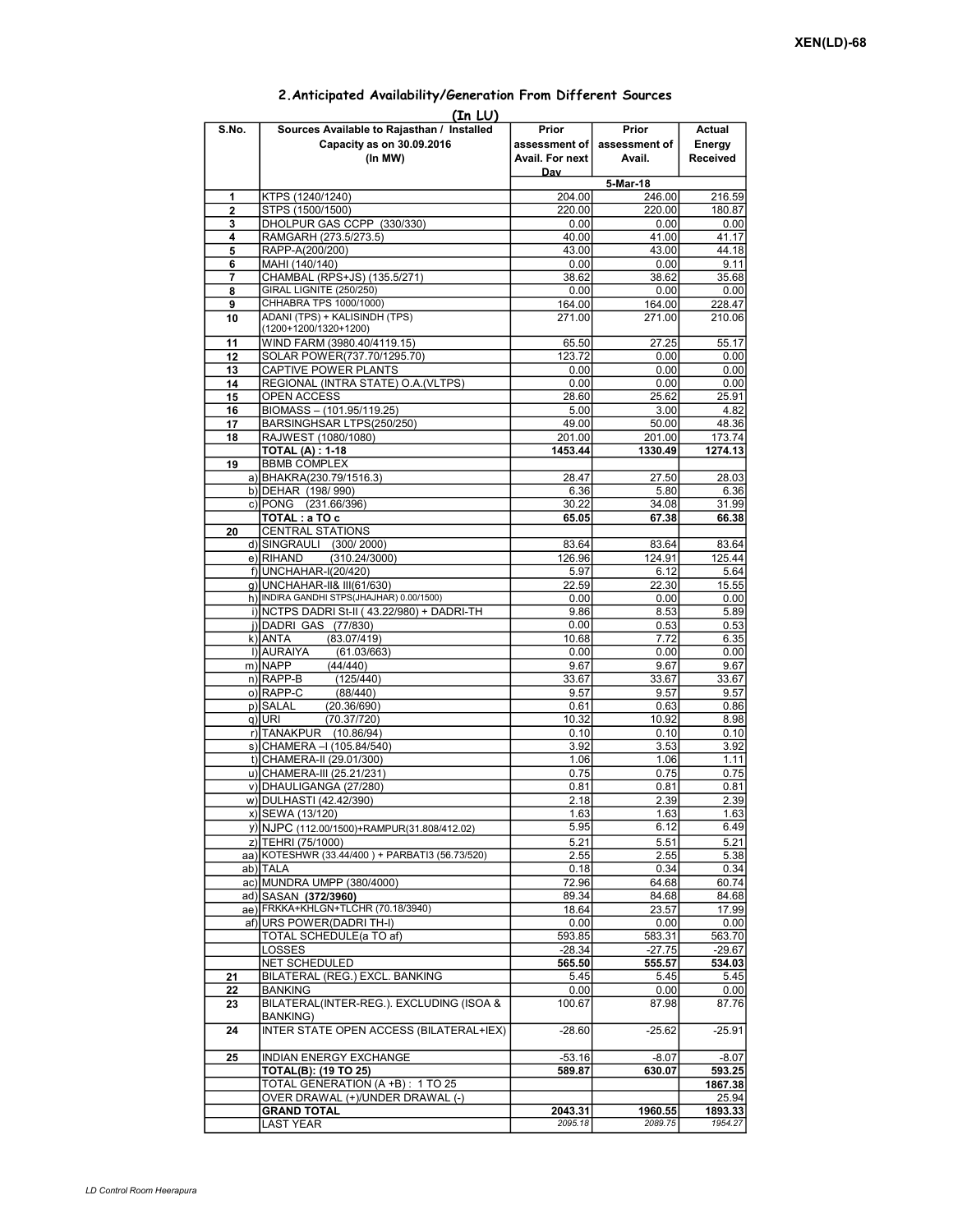|          | (In LU)                                                                            |                                           |                                  |                                     |  |  |  |  |  |  |  |
|----------|------------------------------------------------------------------------------------|-------------------------------------------|----------------------------------|-------------------------------------|--|--|--|--|--|--|--|
| S.No.    | Sources Available to Rajasthan / Installed<br>Capacity as on 30.09.2016<br>(In MW) | Prior<br>assessment of<br>Avail. For next | Prior<br>assessment of<br>Avail. | Actual<br>Energy<br><b>Received</b> |  |  |  |  |  |  |  |
|          |                                                                                    | Day                                       | 5-Mar-18                         |                                     |  |  |  |  |  |  |  |
| 1        | KTPS (1240/1240)                                                                   | 204.00                                    | 246.00                           | 216.59                              |  |  |  |  |  |  |  |
| 2        | STPS (1500/1500)                                                                   | 220.00                                    | 220.00                           | 180.87                              |  |  |  |  |  |  |  |
| 3        | DHOLPUR GAS CCPP (330/330)                                                         | 0.00                                      | 0.00                             | 0.00                                |  |  |  |  |  |  |  |
| 4        | RAMGARH (273.5/273.5)                                                              | 40.00                                     | 41.00                            | 41.17                               |  |  |  |  |  |  |  |
| 5        | RAPP-A(200/200)                                                                    | 43.00                                     | 43.00                            | 44.18                               |  |  |  |  |  |  |  |
| 6        | MAHI (140/140)<br>CHAMBAL (RPS+JS) (135.5/271)                                     | 0.00                                      | 0.00                             | 9.11                                |  |  |  |  |  |  |  |
| 7<br>8   | <b>GIRAL LIGNITE (250/250)</b>                                                     | 38.62<br>0.00                             | 38.62<br>0.00                    | 35.68<br>0.00                       |  |  |  |  |  |  |  |
| 9        | CHHABRA TPS 1000/1000)                                                             | 164.00                                    | 164.00                           | 228.47                              |  |  |  |  |  |  |  |
| 10       | ADANI (TPS) + KALISINDH (TPS)                                                      | 271.00                                    | 271.00                           | 210.06                              |  |  |  |  |  |  |  |
|          | (1200+1200/1320+1200)                                                              |                                           |                                  |                                     |  |  |  |  |  |  |  |
| 11       | WIND FARM (3980.40/4119.15)                                                        | 65.50                                     | 27.25                            | 55.17                               |  |  |  |  |  |  |  |
| 12       | SOLAR POWER(737.70/1295.70)                                                        | 123.72                                    | 0.00                             | 0.00                                |  |  |  |  |  |  |  |
| 13       | CAPTIVE POWER PLANTS                                                               | 0.00                                      | 0.00                             | 0.00                                |  |  |  |  |  |  |  |
| 14       | REGIONAL (INTRA STATE) O.A. (VLTPS)                                                | 0.00                                      | 0.00                             | 0.00                                |  |  |  |  |  |  |  |
| 15       | OPEN ACCESS                                                                        | 28.60<br>5.00                             | 25.62<br>3.00                    | 25.91<br>4.82                       |  |  |  |  |  |  |  |
| 16<br>17 | BIOMASS - (101.95/119.25)<br>BARSINGHSAR LTPS(250/250)                             | 49.00                                     | 50.00                            | 48.36                               |  |  |  |  |  |  |  |
| 18       | RAJWEST (1080/1080)                                                                | 201.00                                    | 201.00                           | 173.74                              |  |  |  |  |  |  |  |
|          | <b>TOTAL (A): 1-18</b>                                                             | 1453.44                                   | 1330.49                          | 1274.13                             |  |  |  |  |  |  |  |
| 19       | <b>BBMB COMPLEX</b>                                                                |                                           |                                  |                                     |  |  |  |  |  |  |  |
|          | a) BHAKRA(230.79/1516.3)                                                           | 28.47                                     | 27.50                            | 28.03                               |  |  |  |  |  |  |  |
|          | b) DEHAR (198/990)                                                                 | 6.36                                      | 5.80                             | 6.36                                |  |  |  |  |  |  |  |
|          | c) PONG (231.66/396)                                                               | 30.22                                     | 34.08                            | 31.99                               |  |  |  |  |  |  |  |
|          | TOTAL: a TO c                                                                      | 65.05                                     | 67.38                            | 66.38                               |  |  |  |  |  |  |  |
| 20       | <b>CENTRAL STATIONS</b>                                                            |                                           |                                  |                                     |  |  |  |  |  |  |  |
|          | d) SINGRAULI (300/2000)<br>e) RIHAND<br>(310.24/3000)                              | 83.64                                     | 83.64                            | 83.64                               |  |  |  |  |  |  |  |
|          | f) UNCHAHAR-I(20/420)                                                              | 126.96<br>5.97                            | 124.91<br>6.12                   | 125.44<br>5.64                      |  |  |  |  |  |  |  |
|          | q) UNCHAHAR-II& III(61/630)                                                        | 22.59                                     | 22.30                            | 15.55                               |  |  |  |  |  |  |  |
|          | h) INDIRA GANDHI STPS(JHAJHAR) 0.00/1500)                                          | 0.00                                      | 0.00                             | 0.00                                |  |  |  |  |  |  |  |
|          | i) NCTPS DADRI St-II (43.22/980) + DADRI-TH                                        | 9.86                                      | 8.53                             | 5.89                                |  |  |  |  |  |  |  |
|          | j) DADRI GAS (77/830)                                                              | 0.00                                      | 0.53                             | 0.53                                |  |  |  |  |  |  |  |
|          | k) ANTA<br>(83.07/419)                                                             | 10.68                                     | 7.72                             | 6.35                                |  |  |  |  |  |  |  |
|          | I) AURAIYA<br>(61.03/663)                                                          | 0.00                                      | 0.00                             | 0.00                                |  |  |  |  |  |  |  |
|          | m) NAPP<br>(44/440)                                                                | 9.67                                      | 9.67                             | 9.67                                |  |  |  |  |  |  |  |
|          | $n)$ RAPP-B<br>(125/440)                                                           | 33.67                                     | 33.67                            | 33.67                               |  |  |  |  |  |  |  |
|          | o) RAPP-C<br>(88/440)<br>p) SALAL<br>(20.36/690)                                   | 9.57<br>0.61                              | 9.57<br>0.63                     | 9.57<br>0.86                        |  |  |  |  |  |  |  |
|          | (70.37/720)<br>q) URI                                                              | 10.32                                     | 10.92                            | 8.98                                |  |  |  |  |  |  |  |
|          | r) TANAKPUR<br>(10.86/94)                                                          | 0.10                                      | 0.10                             | 0.10                                |  |  |  |  |  |  |  |
|          | s) CHAMERA - (105.84/540)                                                          | 3.92                                      | 3.53                             | 3.92                                |  |  |  |  |  |  |  |
|          | t) CHAMERA-II (29.01/300)                                                          | 1.06                                      | 1.06                             | 1.11                                |  |  |  |  |  |  |  |
|          | u) CHAMERA-III (25.21/231)                                                         | 0.75                                      | 0.75                             | 0.75                                |  |  |  |  |  |  |  |
|          | v) DHAULIGANGA (27/280)                                                            | 0.81                                      | 0.81                             | 0.81                                |  |  |  |  |  |  |  |
|          | w) DULHASTI (42.42/390)                                                            | 2.18                                      | 2.39                             | 2.39                                |  |  |  |  |  |  |  |
|          | x) SEWA (13/120)                                                                   | 1.63                                      | 1.63                             | 1.63                                |  |  |  |  |  |  |  |
|          | y) NJPC (112.00/1500) + RAMPUR(31.808/412.02)                                      | 5.95                                      | 6.12                             | 6.49                                |  |  |  |  |  |  |  |
|          | z) TEHRI (75/1000)<br>aa) KOTESHWR (33.44/400) + PARBATI3 (56.73/520)              | 5.21<br>2.55                              | 5.51<br>2.55                     | 5.21<br>5.38                        |  |  |  |  |  |  |  |
|          | ab) TALA                                                                           | 0.18                                      | 0.34                             | 0.34                                |  |  |  |  |  |  |  |
|          | ac) MUNDRA UMPP (380/4000)                                                         | 72.96                                     | 64.68                            | 60.74                               |  |  |  |  |  |  |  |
|          | ad) SASAN (372/3960)                                                               | 89.34                                     | 84.68                            | 84.68                               |  |  |  |  |  |  |  |
|          | ae) FRKKA+KHLGN+TLCHR (70.18/3940)                                                 | 18.64                                     | 23.57                            | 17.99                               |  |  |  |  |  |  |  |
|          | af) URS POWER(DADRI TH-I)                                                          | 0.00                                      | 0.00                             | 0.00                                |  |  |  |  |  |  |  |
|          | TOTAL SCHEDULE(a TO af)                                                            | 593.85                                    | 583.31                           | 563.70                              |  |  |  |  |  |  |  |
|          | LOSSES                                                                             | $-28.34$                                  | $-27.75$                         | $-29.67$                            |  |  |  |  |  |  |  |
|          | <b>NET SCHEDULED</b>                                                               | 565.50                                    | 555.57                           | 534.03                              |  |  |  |  |  |  |  |
| 21       | BILATERAL (REG.) EXCL. BANKING<br><b>BANKING</b>                                   | 5.45<br>0.00                              | 5.45<br>0.00                     | 5.45<br>0.00                        |  |  |  |  |  |  |  |
| 22<br>23 | BILATERAL(INTER-REG.). EXCLUDING (ISOA &                                           | 100.67                                    | 87.98                            | 87.76                               |  |  |  |  |  |  |  |
| 24       | BANKING)<br>INTER STATE OPEN ACCESS (BILATERAL+IEX)                                | $-28.60$                                  | $-25.62$                         | $-25.91$                            |  |  |  |  |  |  |  |
| 25       | <b>INDIAN ENERGY EXCHANGE</b>                                                      | $-53.16$                                  | $-8.07$                          | $-8.07$                             |  |  |  |  |  |  |  |
|          | <b>TOTAL(B): (19 TO 25)</b>                                                        | 589.87                                    | 630.07                           | 593.25                              |  |  |  |  |  |  |  |
|          | TOTAL GENERATION (A +B): 1 TO 25                                                   |                                           |                                  | 1867.38                             |  |  |  |  |  |  |  |
|          | OVER DRAWAL (+)/UNDER DRAWAL (-)                                                   |                                           |                                  | 25.94                               |  |  |  |  |  |  |  |
|          | <b>GRAND TOTAL</b>                                                                 | 2043.31                                   | 1960.55                          | 1893.33                             |  |  |  |  |  |  |  |
|          | <b>LAST YEAR</b>                                                                   | 2095.18                                   | 2089.75                          | 1954.27                             |  |  |  |  |  |  |  |

## 2.Anticipated Availability/Generation From Different Sources